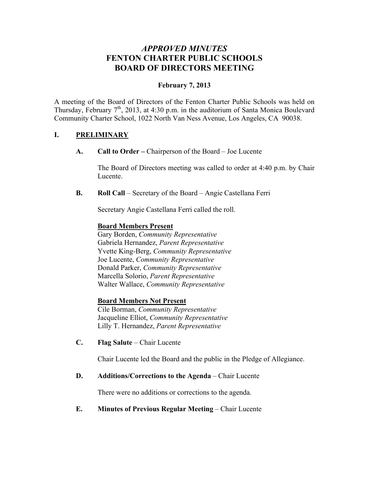# *APPROVED MINUTES* **FENTON CHARTER PUBLIC SCHOOLS BOARD OF DIRECTORS MEETING**

## **February 7, 2013**

A meeting of the Board of Directors of the Fenton Charter Public Schools was held on Thursday, February  $7<sup>th</sup>$ , 2013, at 4:30 p.m. in the auditorium of Santa Monica Boulevard Community Charter School, 1022 North Van Ness Avenue, Los Angeles, CA 90038.

### **I. PRELIMINARY**

**A. Call to Order –** Chairperson of the Board – Joe Lucente

The Board of Directors meeting was called to order at 4:40 p.m. by Chair Lucente.

**B. Roll Call** – Secretary of the Board – Angie Castellana Ferri

Secretary Angie Castellana Ferri called the roll.

#### **Board Members Present**

Gary Borden, *Community Representative* Gabriela Hernandez, *Parent Representative* Yvette King-Berg, *Community Representative* Joe Lucente, *Community Representative* Donald Parker, *Community Representative* Marcella Solorio, *Parent Representative* Walter Wallace, *Community Representative*

#### **Board Members Not Present**

Cile Borman, *Community Representative* Jacqueline Elliot, *Community Representative* Lilly T. Hernandez, *Parent Representative*

**C. Flag Salute** – Chair Lucente

Chair Lucente led the Board and the public in the Pledge of Allegiance.

#### **D. Additions/Corrections to the Agenda** – Chair Lucente

There were no additions or corrections to the agenda.

### **E. Minutes of Previous Regular Meeting – Chair Lucente**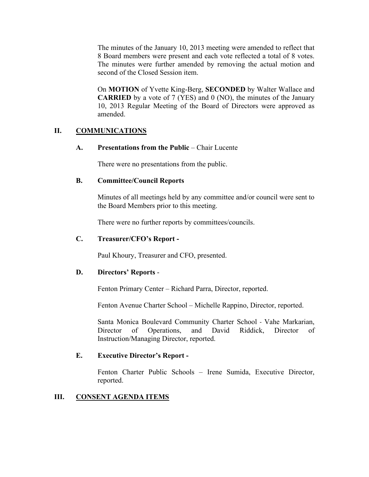The minutes of the January 10, 2013 meeting were amended to reflect that 8 Board members were present and each vote reflected a total of 8 votes. The minutes were further amended by removing the actual motion and second of the Closed Session item.

On **MOTION** of Yvette King-Berg, **SECONDED** by Walter Wallace and **CARRIED** by a vote of 7 (YES) and 0 (NO), the minutes of the January 10, 2013 Regular Meeting of the Board of Directors were approved as amended.

### **II. COMMUNICATIONS**

**A. Presentations from the Public** – Chair Lucente

There were no presentations from the public.

#### **B. Committee/Council Reports**

Minutes of all meetings held by any committee and/or council were sent to the Board Members prior to this meeting.

There were no further reports by committees/councils.

### **C. Treasurer/CFO's Report -**

Paul Khoury, Treasurer and CFO, presented.

### **D. Directors' Reports** -

Fenton Primary Center – Richard Parra, Director, reported.

Fenton Avenue Charter School – Michelle Rappino, Director, reported.

Santa Monica Boulevard Community Charter School - Vahe Markarian, Director of Operations, and David Riddick, Director of Instruction/Managing Director, reported.

### **E. Executive Director's Report -**

Fenton Charter Public Schools – Irene Sumida, Executive Director, reported.

### **III. CONSENT AGENDA ITEMS**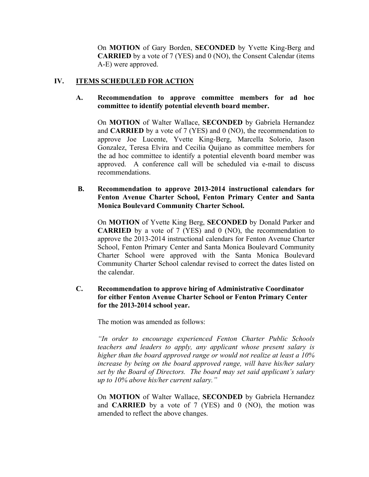On **MOTION** of Gary Borden, **SECONDED** by Yvette King-Berg and **CARRIED** by a vote of 7 (YES) and 0 (NO), the Consent Calendar (items A-E) were approved.

#### **IV. ITEMS SCHEDULED FOR ACTION**

#### **A. Recommendation to approve committee members for ad hoc committee to identify potential eleventh board member.**

On **MOTION** of Walter Wallace, **SECONDED** by Gabriela Hernandez and **CARRIED** by a vote of 7 (YES) and 0 (NO), the recommendation to approve Joe Lucente, Yvette King-Berg, Marcella Solorio, Jason Gonzalez, Teresa Elvira and Cecilia Quijano as committee members for the ad hoc committee to identify a potential eleventh board member was approved. A conference call will be scheduled via e-mail to discuss recommendations.

#### **B. Recommendation to approve 2013-2014 instructional calendars for Fenton Avenue Charter School, Fenton Primary Center and Santa Monica Boulevard Community Charter School.**

On **MOTION** of Yvette King Berg, **SECONDED** by Donald Parker and **CARRIED** by a vote of 7 (YES) and 0 (NO), the recommendation to approve the 2013-2014 instructional calendars for Fenton Avenue Charter School, Fenton Primary Center and Santa Monica Boulevard Community Charter School were approved with the Santa Monica Boulevard Community Charter School calendar revised to correct the dates listed on the calendar.

#### **C. Recommendation to approve hiring of Administrative Coordinator for either Fenton Avenue Charter School or Fenton Primary Center for the 2013-2014 school year.**

The motion was amended as follows:

*"In order to encourage experienced Fenton Charter Public Schools teachers and leaders to apply, any applicant whose present salary is higher than the board approved range or would not realize at least a 10% increase by being on the board approved range, will have his/her salary set by the Board of Directors. The board may set said applicant's salary up to 10% above his/her current salary."*

On **MOTION** of Walter Wallace, **SECONDED** by Gabriela Hernandez and **CARRIED** by a vote of 7 (YES) and 0 (NO), the motion was amended to reflect the above changes.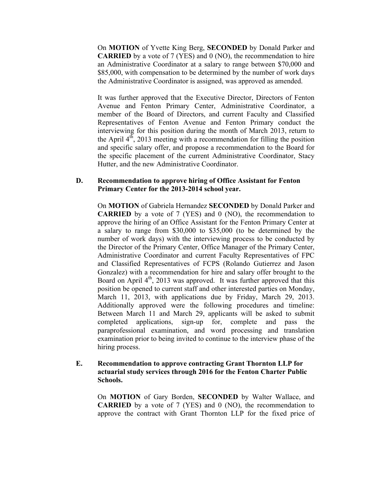On **MOTION** of Yvette King Berg, **SECONDED** by Donald Parker and **CARRIED** by a vote of 7 (YES) and 0 (NO), the recommendation to hire an Administrative Coordinator at a salary to range between \$70,000 and \$85,000, with compensation to be determined by the number of work days the Administrative Coordinator is assigned, was approved as amended.

It was further approved that the Executive Director, Directors of Fenton Avenue and Fenton Primary Center, Administrative Coordinator, a member of the Board of Directors, and current Faculty and Classified Representatives of Fenton Avenue and Fenton Primary conduct the interviewing for this position during the month of March 2013, return to the April  $4<sup>th</sup>$ , 2013 meeting with a recommendation for filling the position and specific salary offer, and propose a recommendation to the Board for the specific placement of the current Administrative Coordinator, Stacy Hutter, and the new Administrative Coordinator.

#### **D. Recommendation to approve hiring of Office Assistant for Fenton Primary Center for the 2013-2014 school year.**

On **MOTION** of Gabriela Hernandez **SECONDED** by Donald Parker and **CARRIED** by a vote of 7 (YES) and 0 (NO), the recommendation to approve the hiring of an Office Assistant for the Fenton Primary Center at a salary to range from \$30,000 to \$35,000 (to be determined by the number of work days) with the interviewing process to be conducted by the Director of the Primary Center, Office Manager of the Primary Center, Administrative Coordinator and current Faculty Representatives of FPC and Classified Representatives of FCPS (Rolando Gutierrez and Jason Gonzalez) with a recommendation for hire and salary offer brought to the Board on April  $4<sup>th</sup>$ , 2013 was approved. It was further approved that this position be opened to current staff and other interested parties on Monday, March 11, 2013, with applications due by Friday, March 29, 2013. Additionally approved were the following procedures and timeline: Between March 11 and March 29, applicants will be asked to submit completed applications, sign-up for, complete and pass the paraprofessional examination, and word processing and translation examination prior to being invited to continue to the interview phase of the hiring process.

#### **E. Recommendation to approve contracting Grant Thornton LLP for actuarial study services through 2016 for the Fenton Charter Public Schools.**

On **MOTION** of Gary Borden, **SECONDED** by Walter Wallace, and **CARRIED** by a vote of 7 (YES) and 0 (NO), the recommendation to approve the contract with Grant Thornton LLP for the fixed price of